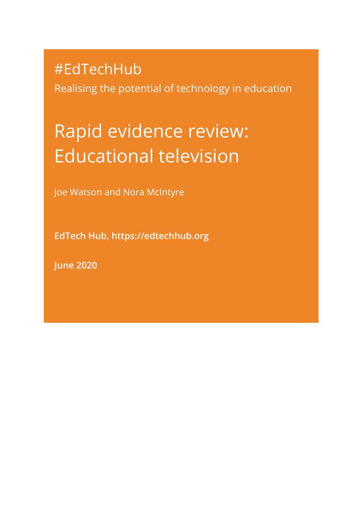# #EdTechHub

Realising the potential of technology in education

# Rapid evidence review: Educational television

Joe Watson and Nora McIntyre

**EdTech Hub, [https://edtechhub.org](https://edtechhub.org/)**

**June 2020**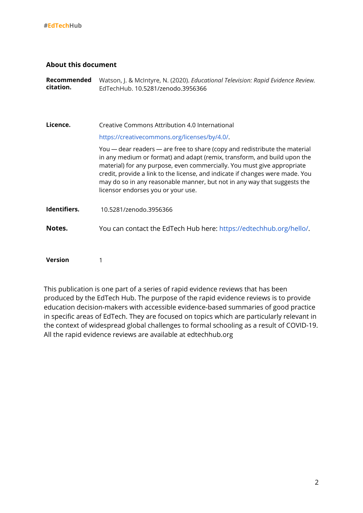#### **About this document**

**Recommended citation.** Watson, J. & McIntyre, N. (2020). *Educational Television: Rapid Evidence Review.* EdTechHub. 10.5281/zenodo.3956366

**Licence.** Creative Commons Attribution 4.0 International <https://creativecommons.org/licenses/by/4.0/>. You — dear readers — are free to share (copy and redistribute the material in any medium or format) and adapt (remix, transform, and build upon the material) for any purpose, even commercially. You must give appropriate credit, provide a link to the license, and indicate if changes were made. You may do so in any reasonable manner, but not in any way that suggests the licensor endorses you or your use. **Identifiers.** 10.5281/zenodo.3956366 **Notes.** You can contact the EdTech Hub here: [https://edtechhub.org/hello/.](https://edtechhub.org/hello/)

**Version** 1

This publication is one part of a series of rapid evidence reviews that has been produced by the EdTech Hub. The purpose of the rapid evidence reviews is to provide education decision-makers with accessible evidence-based summaries of good practice in specific areas of EdTech. They are focused on topics which are particularly relevant in the context of widespread global challenges to formal schooling as a result of COVID-19. All the rapid evidence reviews are available at edtechhub.org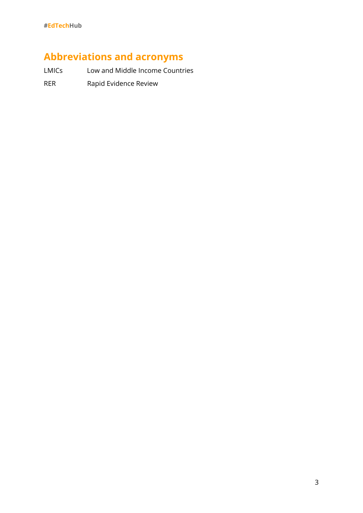# **Abbreviations and acronyms**

LMICs Low and Middle Income Countries

RER Rapid Evidence Review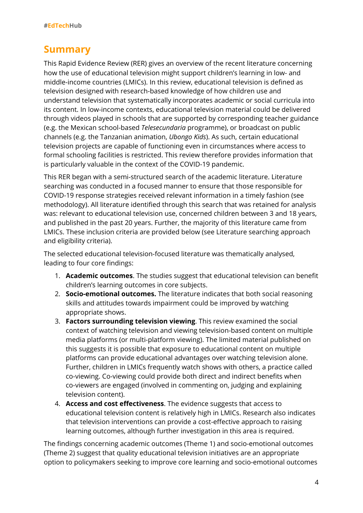# **Summary**

This Rapid Evidence Review (RER) gives an overview of the recent literature concerning how the use of educational television might support children's learning in low- and middle-income countries (LMICs). In this review, educational television is defined as television designed with research-based knowledge of how children use and understand television that systematically incorporates academic or social curricula into its content. In low-income contexts, educational television material could be delivered through videos played in schools that are supported by corresponding teacher guidance (e.g. the Mexican school-based *Telesecundaria* programme), or broadcast on public channels (e.g. the Tanzanian animation, *Ubongo Kids*). As such, certain educational television projects are capable of functioning even in circumstances where access to formal schooling facilities is restricted. This review therefore provides information that is particularly valuable in the context of the COVID-19 pandemic.

This RER began with a semi-structured search of the academic literature. Literature searching was conducted in a focused manner to ensure that those responsible for COVID-19 response strategies received relevant information in a timely fashion (see methodology). All literature identified through this search that was retained for analysis was: relevant to educational television use, concerned children between 3 and 18 years, and published in the past 20 years. Further, the majority of this literature came from LMICs. These inclusion criteria are provided below (see Literature searching approach and eligibility criteria).

The selected educational television-focused literature was thematically analysed, leading to four core findings:

- 1. **Academic outcomes**. The studies suggest that educational television can benefit children's learning outcomes in core subjects.
- 2. **Socio-emotional outcomes.** The literature indicates that both social reasoning skills and attitudes towards impairment could be improved by watching appropriate shows.
- 3. **Factors surrounding television viewing**. This review examined the social context of watching television and viewing television-based content on multiple media platforms (or multi-platform viewing). The limited material published on this suggests it is possible that exposure to educational content on multiple platforms can provide educational advantages over watching television alone. Further, children in LMICs frequently watch shows with others, a practice called co-viewing. Co-viewing could provide both direct and indirect benefits when co-viewers are engaged (involved in commenting on, judging and explaining television content).
- 4. **Access and cost effectiveness**. The evidence suggests that access to educational television content is relatively high in LMICs. Research also indicates that television interventions can provide a cost-effective approach to raising learning outcomes, although further investigation in this area is required.

The findings concerning academic outcomes (Theme 1) and socio-emotional outcomes (Theme 2) suggest that quality educational television initiatives are an appropriate option to policymakers seeking to improve core learning and socio-emotional outcomes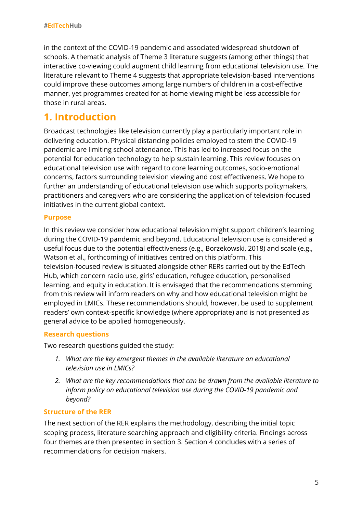in the context of the COVID-19 pandemic and associated widespread shutdown of schools. A thematic analysis of Theme 3 literature suggests (among other things) that interactive co-viewing could augment child learning from educational television use. The literature relevant to Theme 4 suggests that appropriate television-based interventions could improve these outcomes among large numbers of children in a cost-effective manner, yet programmes created for at-home viewing might be less accessible for those in rural areas.

# **1. Introduction**

Broadcast technologies like television currently play a particularly important role in delivering education. Physical distancing policies employed to stem the COVID-19 pandemic are limiting school attendance. This has led to increased focus on the potential for education technology to help sustain learning. This review focuses on educational television use with regard to core learning outcomes, socio-emotional concerns, factors surrounding television viewing and cost effectiveness. We hope to further an understanding of educational television use which supports policymakers, practitioners and caregivers who are considering the application of television-focused initiatives in the current global context.

#### **Purpose**

In this review we consider how educational television might support children's learning during the COVID-19 pandemic and beyond. Educational television use is considered a useful focus due to the potential effectiveness (e.g., Borzekowski, 2018) and scale (e.g., Watson et al., forthcoming) of initiatives centred on this platform. This television-focused review is situated alongside other RERs carried out by the EdTech Hub, which concern radio use, girls' education, refugee education, personalised learning, and equity in education. It is envisaged that the recommendations stemming from this review will inform readers on why and how educational television might be employed in LMICs. These recommendations should, however, be used to supplement readers' own context-specific knowledge (where appropriate) and is not presented as general advice to be applied homogeneously.

#### **Research questions**

Two research questions guided the study:

- *1. What are the key emergent themes in the available literature on educational television use in LMICs?*
- *2. What are the key recommendations that can be drawn from the available literature to inform policy on educational television use during the COVID-19 pandemic and beyond?*

#### **Structure of the RER**

The next section of the RER explains the methodology, describing the initial topic scoping process, literature searching approach and eligibility criteria. Findings across four themes are then presented in section 3. Section 4 concludes with a series of recommendations for decision makers.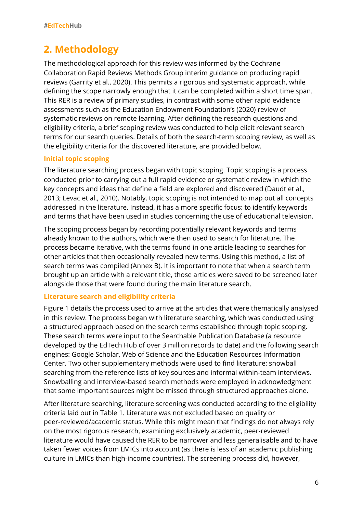# **2. Methodology**

The methodological approach for this review was informed by the Cochrane Collaboration Rapid Reviews Methods Group interim guidance on producing rapid reviews (Garrity et al., 2020). This permits a rigorous and systematic approach, while defining the scope narrowly enough that it can be completed within a short time span. This RER is a review of primary studies, in contrast with some other rapid evidence assessments such as the Education Endowment Foundation's (2020) review of systematic reviews on remote learning. After defining the research questions and eligibility criteria, a brief scoping review was conducted to help elicit relevant search terms for our search queries. Details of both the search-term scoping review, as well as the eligibility criteria for the discovered literature, are provided below.

#### **Initial topic scoping**

The literature searching process began with topic scoping. Topic scoping is a process conducted prior to carrying out a full rapid evidence or systematic review in which the key concepts and ideas that define a field are explored and discovered (Daudt et al., 2013; Levac et al., 2010). Notably, topic scoping is not intended to map out all concepts addressed in the literature. Instead, it has a more specific focus: to identify keywords and terms that have been used in studies concerning the use of educational television.

The scoping process began by recording potentially relevant keywords and terms already known to the authors, which were then used to search for literature. The process became iterative, with the terms found in one article leading to searches for other articles that then occasionally revealed new terms. Using this method, a list of search terms was compiled (Annex B). It is important to note that when a search term brought up an article with a relevant title, those articles were saved to be screened later alongside those that were found during the main literature search.

#### **Literature search and eligibility criteria**

Figure 1 details the process used to arrive at the articles that were thematically analysed in this review. The process began with literature searching, which was conducted using a structured approach based on the search terms established through topic scoping. These search terms were input to the Searchable Publication Database (a resource developed by the EdTech Hub of over 3 million records to date) and the following search engines: Google Scholar, Web of Science and the Education Resources Information Center. Two other supplementary methods were used to find literature: snowball searching from the reference lists of key sources and informal within-team interviews. Snowballing and interview-based search methods were employed in acknowledgment that some important sources might be missed through structured approaches alone.

After literature searching, literature screening was conducted according to the eligibility criteria laid out in Table 1. Literature was not excluded based on quality or peer-reviewed/academic status. While this might mean that findings do not always rely on the most rigorous research, examining exclusively academic, peer-reviewed literature would have caused the RER to be narrower and less generalisable and to have taken fewer voices from LMICs into account (as there is less of an academic publishing culture in LMICs than high-income countries). The screening process did, however,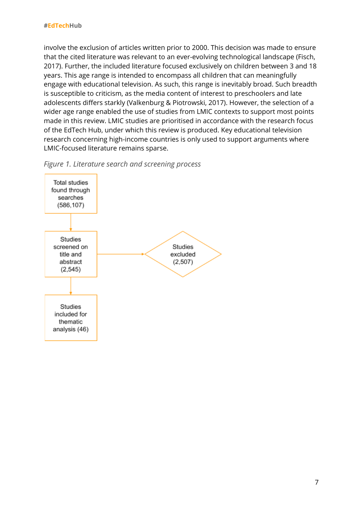involve the exclusion of articles written prior to 2000. This decision was made to ensure that the cited literature was relevant to an ever-evolving technological landscape (Fisch, 2017). Further, the included literature focused exclusively on children between 3 and 18 years. This age range is intended to encompass all children that can meaningfully engage with educational television. As such, this range is inevitably broad. Such breadth is susceptible to criticism, as the media content of interest to preschoolers and late adolescents differs starkly (Valkenburg & Piotrowski, 2017). However, the selection of a wider age range enabled the use of studies from LMIC contexts to support most points made in this review. LMIC studies are prioritised in accordance with the research focus of the EdTech Hub, under which this review is produced. Key educational television research concerning high-income countries is only used to support arguments where LMIC-focused literature remains sparse.



*Figure 1. Literature search and screening process*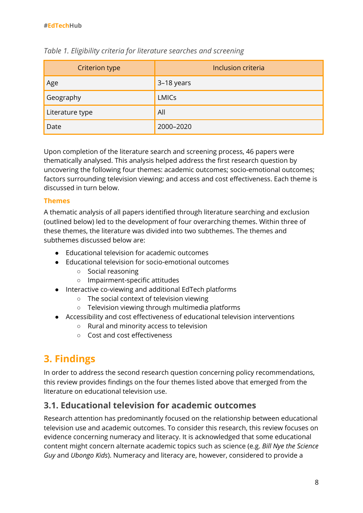| <b>Criterion type</b> | Inclusion criteria |
|-----------------------|--------------------|
| Age                   | 3-18 years         |
| Geography             | <b>LMICs</b>       |
| Literature type       | All                |
| Date                  | 2000-2020          |

#### *Table 1. Eligibility criteria for literature searches and screening*

Upon completion of the literature search and screening process, 46 papers were thematically analysed. This analysis helped address the first research question by uncovering the following four themes: academic outcomes; socio-emotional outcomes; factors surrounding television viewing; and access and cost effectiveness. Each theme is discussed in turn below.

#### **Themes**

A thematic analysis of all papers identified through literature searching and exclusion (outlined below) led to the development of four overarching themes. Within three of these themes, the literature was divided into two subthemes. The themes and subthemes discussed below are:

- Educational television for academic outcomes
- Educational television for socio-emotional outcomes
	- Social reasoning
	- Impairment-specific attitudes
- Interactive co-viewing and additional EdTech platforms
	- The social context of television viewing
	- Television viewing through multimedia platforms
- Accessibility and cost effectiveness of educational television interventions
	- Rural and minority access to television
	- Cost and cost effectiveness

# **3. Findings**

In order to address the second research question concerning policy recommendations, this review provides findings on the four themes listed above that emerged from the literature on educational television use.

#### **3.1. Educational television for academic outcomes**

Research attention has predominantly focused on the relationship between educational television use and academic outcomes. To consider this research, this review focuses on evidence concerning numeracy and literacy. It is acknowledged that some educational content might concern alternate academic topics such as science (e.g. *Bill Nye the Science Guy* and *Ubongo Kids*). Numeracy and literacy are, however, considered to provide a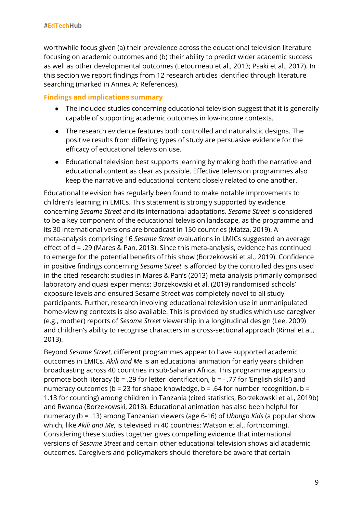worthwhile focus given (a) their prevalence across the educational television literature focusing on academic outcomes and (b) their ability to predict wider academic success as well as other developmental outcomes (Letourneau et al., 2013; Psaki et al., 2017). In this section we report findings from 12 research articles identified through literature searching (marked in Annex A: References).

#### **Findings and implications summary**

- The included studies concerning educational television suggest that it is generally capable of supporting academic outcomes in low-income contexts.
- The research evidence features both controlled and naturalistic designs. The positive results from differing types of study are persuasive evidence for the efficacy of educational television use.
- Educational television best supports learning by making both the narrative and educational content as clear as possible. Effective television programmes also keep the narrative and educational content closely related to one another.

Educational television has regularly been found to make notable improvements to children's learning in LMICs. This statement is strongly supported by evidence concerning *Sesame Street* and its international adaptations. *Sesame Street* is considered to be a key component of the educational television landscape, as the programme and its 30 international versions are broadcast in 150 countries (Matza, 2019). A meta-analysis comprising 16 *Sesame Street* evaluations in LMICs suggested an average effect of d = .29 (Mares & Pan, 2013). Since this meta-analysis, evidence has continued to emerge for the potential benefits of this show (Borzekowski et al., 2019). Confidence in positive findings concerning *Sesame Street* is afforded by the controlled designs used in the cited research: studies in Mares & Pan's (2013) meta-analysis primarily comprised laboratory and quasi experiments; Borzekowski et al. (2019) randomised schools' exposure levels and ensured Sesame Street was completely novel to all study participants. Further, research involving educational television use in unmanipulated home-viewing contexts is also available. This is provided by studies which use caregiver (e.g., mother) reports of *Sesame Stree*t viewership in a longitudinal design (Lee, 2009) and children's ability to recognise characters in a cross-sectional approach (Rimal et al., 2013).

Beyond *Sesame Street*, different programmes appear to have supported academic outcomes in LMICs. *Akili and Me* is an educational animation for early years children broadcasting across 40 countries in sub-Saharan Africa. This programme appears to promote both literacy (b = .29 for letter identification, b = - .77 for 'English skills') and numeracy outcomes ( $b = 23$  for shape knowledge,  $b = .64$  for number recognition,  $b =$ 1.13 for counting) among children in Tanzania (cited statistics, Borzekowski et al., 2019b) and Rwanda (Borzekowski, 2018). Educational animation has also been helpful for numeracy (b = .13) among Tanzanian viewers (age 6-16) of *Ubongo Kids* (a popular show which, like *Akili and Me*, is televised in 40 countries: Watson et al., forthcoming). Considering these studies together gives compelling evidence that international versions of *Sesame Street* and certain other educational television shows aid academic outcomes. Caregivers and policymakers should therefore be aware that certain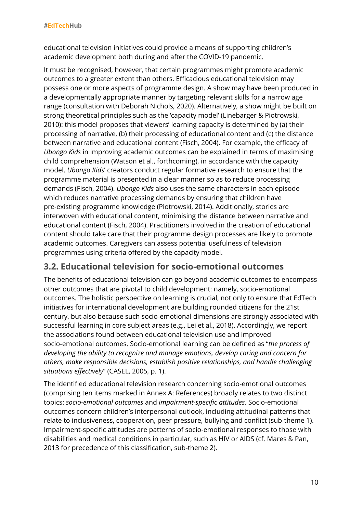educational television initiatives could provide a means of supporting children's academic development both during and after the COVID-19 pandemic.

It must be recognised, however, that certain programmes might promote academic outcomes to a greater extent than others. Efficacious educational television may possess one or more aspects of programme design. A show may have been produced in a developmentally appropriate manner by targeting relevant skills for a narrow age range (consultation with Deborah Nichols, 2020). Alternatively, a show might be built on strong theoretical principles such as the 'capacity model' (Linebarger & Piotrowski, 2010): this model proposes that viewers' learning capacity is determined by (a) their processing of narrative, (b) their processing of educational content and (c) the distance between narrative and educational content (Fisch, 2004). For example, the efficacy of *Ubongo Kids* in improving academic outcomes can be explained in terms of maximising child comprehension (Watson et al., forthcoming), in accordance with the capacity model. *Ubongo Kids*' creators conduct regular formative research to ensure that the programme material is presented in a clear manner so as to reduce processing demands (Fisch, 2004). *Ubongo Kids* also uses the same characters in each episode which reduces narrative processing demands by ensuring that children have pre-existing programme knowledge (Piotrowski, 2014). Additionally, stories are interwoven with educational content, minimising the distance between narrative and educational content (Fisch, 2004). Practitioners involved in the creation of educational content should take care that their programme design processes are likely to promote academic outcomes. Caregivers can assess potential usefulness of television programmes using criteria offered by the capacity model.

#### **3.2. Educational television for socio-emotional outcomes**

The benefits of educational television can go beyond academic outcomes to encompass other outcomes that are pivotal to child development: namely, socio-emotional outcomes. The holistic perspective on learning is crucial, not only to ensure that EdTech initiatives for international development are building rounded citizens for the 21st century, but also because such socio-emotional dimensions are strongly associated with successful learning in core subject areas (e.g., Lei et al., 2018). Accordingly, we report the associations found between educational television use and improved socio-emotional outcomes. Socio-emotional learning can be defined as "*the process of developing the ability to recognize and manage emotions, develop caring and concern for others, make responsible decisions, establish positive relationships, and handle challenging situations effectively*" (CASEL, 2005, p. 1).

The identified educational television research concerning socio-emotional outcomes (comprising ten items marked in Annex A: References) broadly relates to two distinct topics: *socio-emotional outcomes* and *impairment-specific attitudes*. Socio-emotional outcomes concern children's interpersonal outlook, including attitudinal patterns that relate to inclusiveness, cooperation, peer pressure, bullying and conflict (sub-theme 1). Impairment-specific attitudes are patterns of socio-emotional responses to those with disabilities and medical conditions in particular, such as HIV or AIDS (cf. Mares & Pan, 2013 for precedence of this classification, sub-theme 2).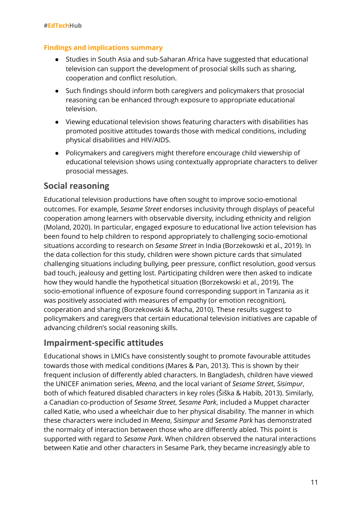#### **Findings and implications summary**

- Studies in South Asia and sub-Saharan Africa have suggested that educational television can support the development of prosocial skills such as sharing, cooperation and conflict resolution.
- Such findings should inform both caregivers and policymakers that prosocial reasoning can be enhanced through exposure to appropriate educational television.
- Viewing educational television shows featuring characters with disabilities has promoted positive attitudes towards those with medical conditions, including physical disabilities and HIV/AIDS.
- Policymakers and caregivers might therefore encourage child viewership of educational television shows using contextually appropriate characters to deliver prosocial messages.

#### **Social reasoning**

Educational television productions have often sought to improve socio-emotional outcomes. For example, *Sesame Street* endorses inclusivity through displays of peaceful cooperation among learners with observable diversity, including ethnicity and religion (Moland, 2020). In particular, engaged exposure to educational live action television has been found to help children to respond appropriately to challenging socio-emotional situations according to research on *Sesame Street* in India (Borzekowski et al., 2019). In the data collection for this study, children were shown picture cards that simulated challenging situations including bullying, peer pressure, conflict resolution, good versus bad touch, jealousy and getting lost. Participating children were then asked to indicate how they would handle the hypothetical situation (Borzekowski et al., 2019). The socio-emotional influence of exposure found corresponding support in Tanzania as it was positively associated with measures of empathy (or emotion recognition), cooperation and sharing (Borzekowski & Macha, 2010). These results suggest to policymakers and caregivers that certain educational television initiatives are capable of advancing children's social reasoning skills.

### **Impairment-specific attitudes**

Educational shows in LMICs have consistently sought to promote favourable attitudes towards those with medical conditions (Mares & Pan, 2013). This is shown by their frequent inclusion of differently abled characters. In Bangladesh, children have viewed the UNICEF animation series, *Meena*, and the local variant of *Sesame Street*, *Sisimpur*, both of which featured disabled characters in key roles (Šiška & Habib, 2013). Similarly, a Canadian co-production of *Sesame Street*, *Sesame Park*, included a Muppet character called Katie, who used a wheelchair due to her physical disability. The manner in which these characters were included in *Meena*, *Sisimpur* and *Sesame Park* has demonstrated the normalcy of interaction between those who are differently abled. This point is supported with regard to *Sesame Park*. When children observed the natural interactions between Katie and other characters in Sesame Park, they became increasingly able to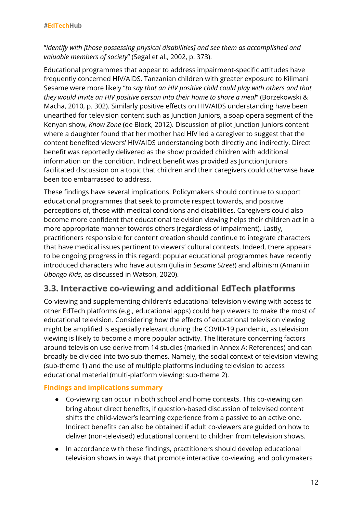"*identify with [those possessing physical disabilities] and see them as accomplished and valuable members of society*" (Segal et al., 2002, p. 373).

Educational programmes that appear to address impairment-specific attitudes have frequently concerned HIV/AIDS. Tanzanian children with greater exposure to Kilimani Sesame were more likely "*to say that an HIV positive child could play with others and that they would invite an HIV positive person into their home to share a meal*" (Borzekowski & Macha, 2010, p. 302). Similarly positive effects on HIV/AIDS understanding have been unearthed for television content such as Junction Juniors, a soap opera segment of the Kenyan show, *Know Zone* (de Block, 2012). Discussion of pilot Junction Juniors content where a daughter found that her mother had HIV led a caregiver to suggest that the content benefited viewers' HIV/AIDS understanding both directly and indirectly. Direct benefit was reportedly delivered as the show provided children with additional information on the condition. Indirect benefit was provided as Junction Juniors facilitated discussion on a topic that children and their caregivers could otherwise have been too embarrassed to address.

These findings have several implications. Policymakers should continue to support educational programmes that seek to promote respect towards, and positive perceptions of, those with medical conditions and disabilities. Caregivers could also become more confident that educational television viewing helps their children act in a more appropriate manner towards others (regardless of impairment). Lastly, practitioners responsible for content creation should continue to integrate characters that have medical issues pertinent to viewers' cultural contexts. Indeed, there appears to be ongoing progress in this regard: popular educational programmes have recently introduced characters who have autism (Julia in *Sesame Street*) and albinism (Amani in *Ubongo Kids*, as discussed in Watson, 2020).

# **3.3. Interactive co-viewing and additional EdTech platforms**

Co-viewing and supplementing children's educational television viewing with access to other EdTech platforms (e.g., educational apps) could help viewers to make the most of educational television. Considering how the effects of educational television viewing might be amplified is especially relevant during the COVID-19 pandemic, as television viewing is likely to become a more popular activity. The literature concerning factors around television use derive from 14 studies (marked in Annex A: References) and can broadly be divided into two sub-themes. Namely, the social context of television viewing (sub-theme 1) and the use of multiple platforms including television to access educational material (multi-platform viewing: sub-theme 2).

#### **Findings and implications summary**

- Co-viewing can occur in both school and home contexts. This co-viewing can bring about direct benefits, if question-based discussion of televised content shifts the child-viewer's learning experience from a passive to an active one. Indirect benefits can also be obtained if adult co-viewers are guided on how to deliver (non-televised) educational content to children from television shows.
- In accordance with these findings, practitioners should develop educational television shows in ways that promote interactive co-viewing, and policymakers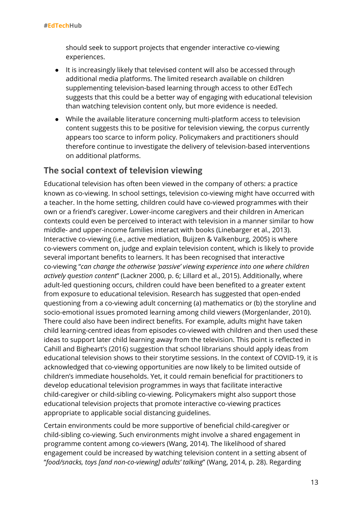should seek to support projects that engender interactive co-viewing experiences.

- It is increasingly likely that televised content will also be accessed through additional media platforms. The limited research available on children supplementing television-based learning through access to other EdTech suggests that this could be a better way of engaging with educational television than watching television content only, but more evidence is needed.
- While the available literature concerning multi-platform access to television content suggests this to be positive for television viewing, the corpus currently appears too scarce to inform policy. Policymakers and practitioners should therefore continue to investigate the delivery of television-based interventions on additional platforms.

#### **The social context of television viewing**

Educational television has often been viewed in the company of others: a practice known as co-viewing. In school settings, television co-viewing might have occurred with a teacher. In the home setting, children could have co-viewed programmes with their own or a friend's caregiver. Lower-income caregivers and their children in American contexts could even be perceived to interact with television in a manner similar to how middle- and upper-income families interact with books (Linebarger et al., 2013). Interactive co-viewing (i.e., active mediation, Buijzen & Valkenburg, 2005) is where co-viewers comment on, judge and explain television content, which is likely to provide several important benefits to learners. It has been recognised that interactive co-viewing "*can change the otherwise 'passive' viewing experience into one where children actively question content*" (Lackner 2000, p. 6; Lillard et al., 2015). Additionally, where adult-led questioning occurs, children could have been benefited to a greater extent from exposure to educational television. Research has suggested that open-ended questioning from a co-viewing adult concerning (a) mathematics or (b) the storyline and socio-emotional issues promoted learning among child viewers (Morgenlander, 2010). There could also have been indirect benefits. For example, adults might have taken child learning-centred ideas from episodes co-viewed with children and then used these ideas to support later child learning away from the television. This point is reflected in Cahill and Bigheart's (2016) suggestion that school librarians should apply ideas from educational television shows to their storytime sessions. In the context of COVID-19, it is acknowledged that co-viewing opportunities are now likely to be limited outside of children's immediate households. Yet, it could remain beneficial for practitioners to develop educational television programmes in ways that facilitate interactive child-caregiver or child-sibling co-viewing. Policymakers might also support those educational television projects that promote interactive co-viewing practices appropriate to applicable social distancing guidelines.

Certain environments could be more supportive of beneficial child-caregiver or child-sibling co-viewing. Such environments might involve a shared engagement in programme content among co-viewers (Wang, 2014). The likelihood of shared engagement could be increased by watching television content in a setting absent of "*food/snacks, toys [and non-co-viewing] adults' talking*" (Wang, 2014, p. 28). Regarding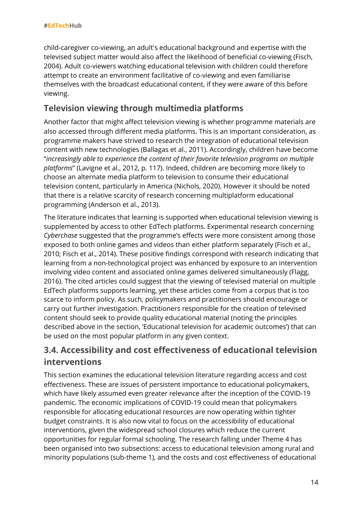child-caregiver co-viewing, an adult's educational background and expertise with the televised subject matter would also affect the likelihood of beneficial co-viewing (Fisch, 2004). Adult co-viewers watching educational television with children could therefore attempt to create an environment facilitative of co-viewing and even familiarise themselves with the broadcast educational content, if they were aware of this before viewing.

## **Television viewing through multimedia platforms**

Another factor that might affect television viewing is whether programme materials are also accessed through different media platforms. This is an important consideration, as programme makers have strived to research the integration of educational television content with new technologies (Ballagas et al., 2011). Accordingly, children have become "*increasingly able to experience the content of their favorite television programs on multiple platforms*" (Lavigne et al., 2012, p. 117). Indeed, children are becoming more likely to choose an alternate media platform to television to consume their educational television content, particularly in America (Nichols, 2020). However it should be noted that there is a relative scarcity of research concerning multiplatform educational programming (Anderson et al., 2013).

The literature indicates that learning is supported when educational television viewing is supplemented by access to other EdTech platforms. Experimental research concerning *Cyberchase* suggested that the programme's effects were more consistent among those exposed to both online games and videos than either platform separately (Fisch et al., 2010; Fisch et al., 2014). These positive findings correspond with research indicating that learning from a non-technological project was enhanced by exposure to an intervention involving video content and associated online games delivered simultaneously (Flagg, 2016). The cited articles could suggest that the viewing of televised material on multiple EdTech platforms supports learning, yet these articles come from a corpus that is too scarce to inform policy. As such, policymakers and practitioners should encourage or carry out further investigation. Practitioners responsible for the creation of televised content should seek to provide quality educational material (noting the principles described above in the section, 'Educational television for academic outcomes') that can be used on the most popular platform in any given context.

# **3.4. Accessibility and cost effectiveness of educational television interventions**

This section examines the educational television literature regarding access and cost effectiveness. These are issues of persistent importance to educational policymakers, which have likely assumed even greater relevance after the inception of the COVID-19 pandemic. The economic implications of COVID-19 could mean that policymakers responsible for allocating educational resources are now operating within tighter budget constraints. It is also now vital to focus on the accessibility of educational interventions, given the widespread school closures which reduce the current opportunities for regular formal schooling. The research falling under Theme 4 has been organised into two subsections: access to educational television among rural and minority populations (sub-theme 1), and the costs and cost effectiveness of educational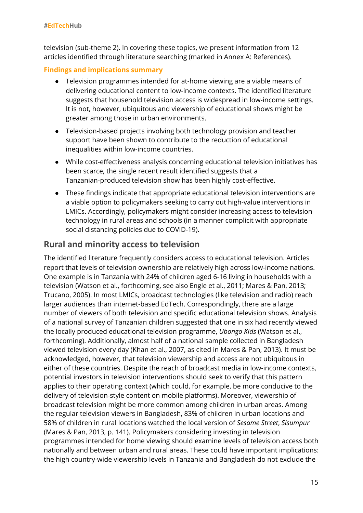television (sub-theme 2). In covering these topics, we present information from 12 articles identified through literature searching (marked in Annex A: References).

#### **Findings and implications summary**

- Television programmes intended for at-home viewing are a viable means of delivering educational content to low-income contexts. The identified literature suggests that household television access is widespread in low-income settings. It is not, however, ubiquitous and viewership of educational shows might be greater among those in urban environments.
- Television-based projects involving both technology provision and teacher support have been shown to contribute to the reduction of educational inequalities within low-income countries.
- While cost-effectiveness analysis concerning educational television initiatives has been scarce, the single recent result identified suggests that a Tanzanian-produced television show has been highly cost-effective.
- These findings indicate that appropriate educational television interventions are a viable option to policymakers seeking to carry out high-value interventions in LMICs. Accordingly, policymakers might consider increasing access to television technology in rural areas and schools (in a manner complicit with appropriate social distancing policies due to COVID-19).

#### **Rural and minority access to television**

The identified literature frequently considers access to educational television. Articles report that levels of television ownership are relatively high across low-income nations. One example is in Tanzania with 24% of children aged 6-16 living in households with a television (Watson et al., forthcoming, see also Engle et al., 2011; Mares & Pan, 2013; Trucano, 2005). In most LMICs, broadcast technologies (like television and radio) reach larger audiences than internet-based EdTech. Correspondingly, there are a large number of viewers of both television and specific educational television shows. Analysis of a national survey of Tanzanian children suggested that one in six had recently viewed the locally produced educational television programme, *Ubongo Kids* (Watson et al., forthcoming). Additionally, almost half of a national sample collected in Bangladesh viewed television every day (Khan et al., 2007, as cited in Mares & Pan, 2013). It must be acknowledged, however, that television viewership and access are not ubiquitous in either of these countries. Despite the reach of broadcast media in low-income contexts, potential investors in television interventions should seek to verify that this pattern applies to their operating context (which could, for example, be more conducive to the delivery of television-style content on mobile platforms). Moreover, viewership of broadcast television might be more common among children in urban areas. Among the regular television viewers in Bangladesh, 83% of children in urban locations and 58% of children in rural locations watched the local version of *Sesame Street*, *Sisumpur* (Mares & Pan, 2013, p. 141). Policymakers considering investing in television programmes intended for home viewing should examine levels of television access both nationally and between urban and rural areas. These could have important implications: the high country-wide viewership levels in Tanzania and Bangladesh do not exclude the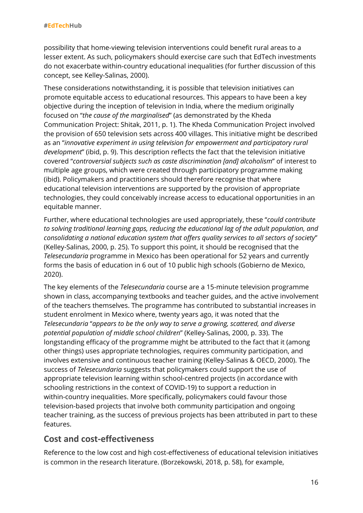possibility that home-viewing television interventions could benefit rural areas to a lesser extent. As such, policymakers should exercise care such that EdTech investments do not exacerbate within-country educational inequalities (for further discussion of this concept, see Kelley-Salinas, 2000).

These considerations notwithstanding, it is possible that television initiatives can promote equitable access to educational resources. This appears to have been a key objective during the inception of television in India, where the medium originally focused on "*the cause of the marginalised*" (as demonstrated by the Kheda Communication Project: Shitak, 2011, p. 1). The Kheda Communication Project involved the provision of 650 television sets across 400 villages. This initiative might be described as an "*innovative experiment in using television for empowerment and participatory rural development*" (ibid, p. 9). This description reflects the fact that the television initiative covered "*controversial subjects such as caste discrimination [and] alcoholism*" of interest to multiple age groups, which were created through participatory programme making (ibid). Policymakers and practitioners should therefore recognise that where educational television interventions are supported by the provision of appropriate technologies, they could conceivably increase access to educational opportunities in an equitable manner.

Further, where educational technologies are used appropriately, these "*could contribute to solving traditional learning gaps, reducing the educational lag of the adult population, and consolidating a national education system that offers quality services to all sectors of society*" (Kelley-Salinas, 2000, p. 25). To support this point, it should be recognised that the *Telesecundaria* programme in Mexico has been operational for 52 years and currently forms the basis of education in 6 out of 10 public high schools (Gobierno de Mexico, 2020).

The key elements of the *Telesecundaria* course are a 15-minute television programme shown in class, accompanying textbooks and teacher guides, and the active involvement of the teachers themselves. The programme has contributed to substantial increases in student enrolment in Mexico where, twenty years ago, it was noted that the *Telesecundaria* "*appears to be the only way to serve a growing, scattered, and diverse potential population of middle school children*" (Kelley-Salinas, 2000, p. 33). The longstanding efficacy of the programme might be attributed to the fact that it (among other things) uses appropriate technologies, requires community participation, and involves extensive and continuous teacher training (Kelley-Salinas & OECD, 2000). The success of *Telesecundaria* suggests that policymakers could support the use of appropriate television learning within school-centred projects (in accordance with schooling restrictions in the context of COVID-19) to support a reduction in within-country inequalities. More specifically, policymakers could favour those television-based projects that involve both community participation and ongoing teacher training, as the success of previous projects has been attributed in part to these features.

## **Cost and cost-effectiveness**

Reference to the low cost and high cost-effectiveness of educational television initiatives is common in the research literature. (Borzekowski, 2018, p. 58), for example,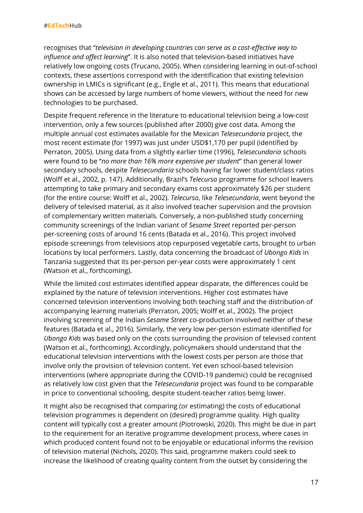recognises that "*television in developing countries can serve as a cost-effective way to influence and affect learning*". It is also noted that television-based initiatives have relatively low ongoing costs (Trucano, 2005). When considering learning in out-of-school contexts, these assertions correspond with the identification that existing television ownership in LMICs is significant (e.g., Engle et al., 2011). This means that educational shows can be accessed by large numbers of home viewers, without the need for new technologies to be purchased.

Despite frequent reference in the literature to educational television being a low-cost intervention, only a few sources (published after 2000) give cost data. Among the multiple annual cost estimates available for the Mexican *Telesecundaria* project, the most recent estimate (for 1997) was just under USD\$1,170 per pupil (identified by Perraton, 2005). Using data from a slightly earlier time (1996), *Telesecundaria* schools were found to be "*no more than 16% more expensive per student*" than general lower secondary schools, despite *Telesecundaria* schools having far lower student/class ratios (Wolff et al., 2002, p. 147). Additionally, Brazil's *Telecurso* programme for school leavers attempting to take primary and secondary exams cost approximately \$26 per student (for the entire course: Wolff et al., 2002). *Telecurso*, like *Telesecundaria*, went beyond the delivery of televised material, as it also involved teacher supervision and the provision of complementary written materials. Conversely, a non-published study concerning community screenings of the Indian variant of *Sesame Street* reported per-person per-screening costs of around 16 cents (Batada et al., 2016). This project involved episode screenings from televisions atop repurposed vegetable carts, brought to urban locations by local performers. Lastly, data concerning the broadcast of *Ubongo Kids* in Tanzania suggested that its per-person per-year costs were approximately 1 cent (Watson et al., forthcoming).

While the limited cost estimates identified appear disparate, the differences could be explained by the nature of television interventions. Higher cost estimates have concerned television interventions involving both teaching staff and the distribution of accompanying learning materials (Perraton, 2005; Wolff et al., 2002). The project involving screening of the Indian *Sesame Street* co-production involved neither of these features (Batada et al., 2016). Similarly, the very low per-person estimate identified for *Ubongo Kids* was based only on the costs surrounding the provision of televised content (Watson et al., forthcoming). Accordingly, policymakers should understand that the educational television interventions with the lowest costs per person are those that involve only the provision of television content. Yet even school-based television interventions (where appropriate during the COVID-19 pandemic) could be recognised as relatively low cost given that the *Telesecundaria* project was found to be comparable in price to conventional schooling, despite student-teacher ratios being lower.

It might also be recognised that comparing (or estimating) the costs of educational television programmes is dependent on (desired) programme quality. High quality content will typically cost a greater amount (Piotrowski, 2020). This might be due in part to the requirement for an iterative programme development process, where cases in which produced content found not to be enjoyable or educational informs the revision of television material (Nichols, 2020). This said, programme makers could seek to increase the likelihood of creating quality content from the outset by considering the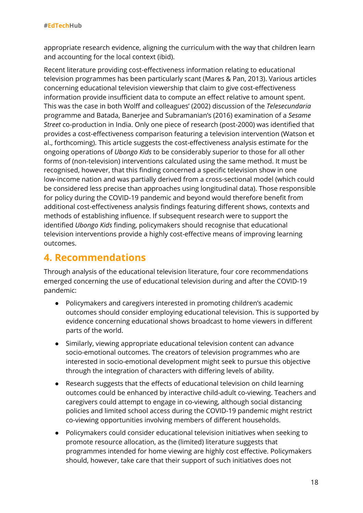appropriate research evidence, aligning the curriculum with the way that children learn and accounting for the local context (ibid).

Recent literature providing cost-effectiveness information relating to educational television programmes has been particularly scant (Mares & Pan, 2013). Various articles concerning educational television viewership that claim to give cost-effectiveness information provide insufficient data to compute an effect relative to amount spent. This was the case in both Wolff and colleagues' (2002) discussion of the *Telesecundaria* programme and Batada, Banerjee and Subramanian's (2016) examination of a *Sesame Street* co-production in India. Only one piece of research (post-2000) was identified that provides a cost-effectiveness comparison featuring a television intervention (Watson et al., forthcoming). This article suggests the cost-effectiveness analysis estimate for the ongoing operations of *Ubongo Kids* to be considerably superior to those for all other forms of (non-television) interventions calculated using the same method. It must be recognised, however, that this finding concerned a specific television show in one low-income nation and was partially derived from a cross-sectional model (which could be considered less precise than approaches using longitudinal data). Those responsible for policy during the COVID-19 pandemic and beyond would therefore benefit from additional cost-effectiveness analysis findings featuring different shows, contexts and methods of establishing influence. If subsequent research were to support the identified *Ubongo Kids* finding, policymakers should recognise that educational television interventions provide a highly cost-effective means of improving learning outcomes.

# **4. Recommendations**

Through analysis of the educational television literature, four core recommendations emerged concerning the use of educational television during and after the COVID-19 pandemic:

- Policymakers and caregivers interested in promoting children's academic outcomes should consider employing educational television. This is supported by evidence concerning educational shows broadcast to home viewers in different parts of the world.
- Similarly, viewing appropriate educational television content can advance socio-emotional outcomes. The creators of television programmes who are interested in socio-emotional development might seek to pursue this objective through the integration of characters with differing levels of ability.
- Research suggests that the effects of educational television on child learning outcomes could be enhanced by interactive child-adult co-viewing. Teachers and caregivers could attempt to engage in co-viewing, although social distancing policies and limited school access during the COVID-19 pandemic might restrict co-viewing opportunities involving members of different households.
- Policymakers could consider educational television initiatives when seeking to promote resource allocation, as the (limited) literature suggests that programmes intended for home viewing are highly cost effective. Policymakers should, however, take care that their support of such initiatives does not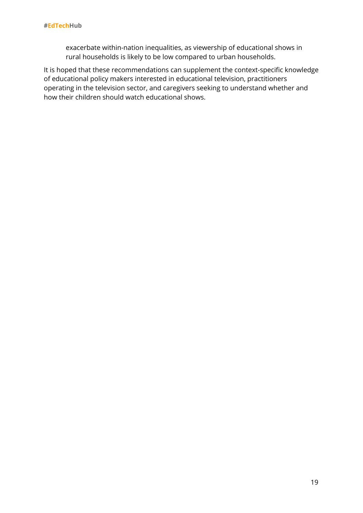exacerbate within-nation inequalities, as viewership of educational shows in rural households is likely to be low compared to urban households.

It is hoped that these recommendations can supplement the context-specific knowledge of educational policy makers interested in educational television, practitioners operating in the television sector, and caregivers seeking to understand whether and how their children should watch educational shows.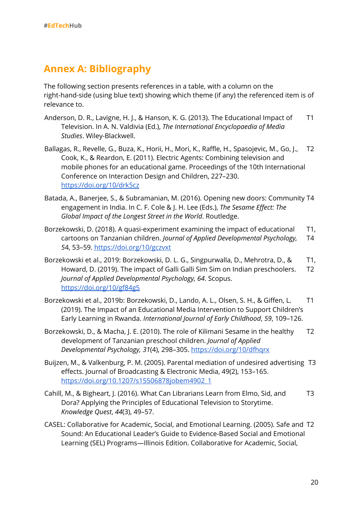# **Annex A: Bibliography**

The following section presents references in a table, with a column on the right-hand-side (using blue text) showing which theme (if any) the referenced item is of relevance to.

- Anderson, D. R., Lavigne, H. J., & Hanson, K. G. (2013). The Educational Impact of Television. In A. N. Valdivia (Ed.), *The International Encyclopaedia of Media Studies*. Wiley-Blackwell. T1
- Ballagas, R., Revelle, G., Buza, K., Horii, H., Mori, K., Raffle, H., Spasojevic, M., Go, J., Cook, K., & Reardon, E. (2011). Electric Agents: Combining television and mobile phones for an educational game. Proceedings of the 10th International Conference on Interaction Design and Children, 227–230. <https://doi.org/10/drk5cz> T2
- Batada, A., Banerjee, S., & Subramanian, M. (2016). Opening new doors: Community T4 engagement in India. In C. F. Cole & J. H. Lee (Eds.), *The Sesame Effect: The Global Impact of the Longest Street in the World*. Routledge.
- Borzekowski, D. (2018). A quasi-experiment examining the impact of educational cartoons on Tanzanian children. *Journal of Applied Developmental Psychology, 5*4, 53–59. <https://doi.org/10/gczvxt> T1, T4
- Borzekowski et al., 2019: Borzekowski, D. L. G., Singpurwalla, D., Mehrotra, D., & Howard, D. (2019). The impact of Galli Galli Sim Sim on Indian preschoolers. *Journal of Applied Developmental Psychology, 64*. Scopus. <https://doi.org/10/gf84g5> T1, T2
- Borzekowski et al., 2019b: Borzekowski, D., Lando, A. L., Olsen, S. H., & Giffen, L. (2019). The Impact of an Educational Media Intervention to Support Children's Early Learning in Rwanda. *International Journal of Early Childhood*, *59*, 109–126. T1
- Borzekowski, D., & Macha, J. E. (2010). The role of Kilimani Sesame in the healthy development of Tanzanian preschool children. *Journal of Applied Developmental Psychology, 31*(4), 298–305. <https://doi.org/10/dfhqrx> T2
- Buijzen, M., & Valkenburg, P. M. (2005). Parental mediation of undesired advertising T3 effects. Journal of Broadcasting & Electronic Media, 49(2), 153–165. [https://doi.org/10.1207/s15506878jobem4902\\_1](https://doi.org/10.1207/s15506878jobem4902_1)
- Cahill, M., & Bigheart, J. (2016). What Can Librarians Learn from Elmo, Sid, and Dora? Applying the Principles of Educational Television to Storytime. *Knowledge Quest*, *44*(3), 49–57. T3
- CASEL: Collaborative for Academic, Social, and Emotional Learning. (2005). Safe and T2 Sound: An Educational Leader's Guide to Evidence-Based Social and Emotional Learning (SEL) Programs—Illinois Edition. Collaborative for Academic, Social,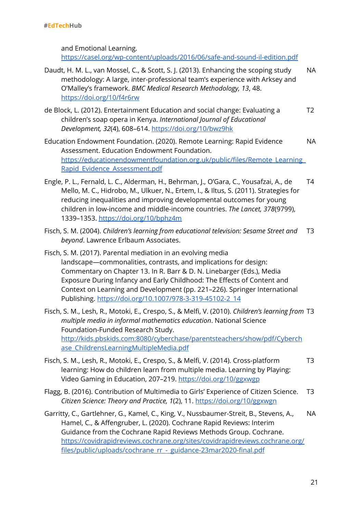and Emotional Learning.

<https://casel.org/wp-content/uploads/2016/06/safe-and-sound-il-edition.pdf>

- Daudt, H. M. L., van Mossel, C., & Scott, S. J. (2013). Enhancing the scoping study methodology: A large, inter-professional team's experience with Arksey and O'Malley's framework. *BMC Medical Research Methodology, 13*, 48. <https://doi.org/10/f4r6rw> NA
- de Block, L. (2012). Entertainment Education and social change: Evaluating a children's soap opera in Kenya. *International Journal of Educational Development, 32*(4), 608–614. <https://doi.org/10/bwz9hk> T2
- Education Endowment Foundation. (2020). Remote Learning: Rapid Evidence Assessment. Education Endowment Foundation. [https://educationendowmentfoundation.org.uk/public/files/Remote\\_Learning\\_](https://educationendowmentfoundation.org.uk/public/files/Remote_Learning_Rapid_Evidence_Assessment.pdf) [Rapid\\_Evidence\\_Assessment.pdf](https://educationendowmentfoundation.org.uk/public/files/Remote_Learning_Rapid_Evidence_Assessment.pdf) NA
- Engle, P. L., Fernald, L. C., Alderman, H., Behrman, J., O'Gara, C., Yousafzai, A., de Mello, M. C., Hidrobo, M., Ulkuer, N., Ertem, I., & Iltus, S. (2011). Strategies for reducing inequalities and improving developmental outcomes for young children in low-income and middle-income countries. *The Lancet, 378*(9799), 1339–1353. <https://doi.org/10/bphz4m> T4
- Fisch, S. M. (2004). *Children's learning from educational television: Sesame Street and beyond*. Lawrence Erlbaum Associates. T3
- Fisch, S. M. (2017). Parental mediation in an evolving media landscape—commonalities, contrasts, and implications for design: Commentary on Chapter 13. In R. Barr & D. N. Linebarger (Eds.), Media Exposure During Infancy and Early Childhood: The Effects of Content and Context on Learning and Development (pp. 221–226). Springer International Publishing. [https://doi.org/10.1007/978-3-319-45102-2\\_14](https://doi.org/10.1007/978-3-319-45102-2_14)
- Fisch, S. M., Lesh, R., Motoki, E., Crespo, S., & Melfi, V. (2010). *Children's learning from* T3 *multiple media in informal mathematics education*. National Science Foundation-Funded Research Study. [http://kids.pbskids.com:8080/cyberchase/parentsteachers/show/pdf/Cyberch](http://kids.pbskids.com:8080/cyberchase/parentsteachers/show/pdf/Cyberchase_ChildrensLearningMultipleMedia.pdf) [ase\\_ChildrensLearningMultipleMedia.pdf](http://kids.pbskids.com:8080/cyberchase/parentsteachers/show/pdf/Cyberchase_ChildrensLearningMultipleMedia.pdf)
- Fisch, S. M., Lesh, R., Motoki, E., Crespo, S., & Melfi, V. (2014). Cross-platform learning: How do children learn from multiple media. Learning by Playing: Video Gaming in Education, 207–219. <https://doi.org/10/ggxwgp> T3
- Flagg, B. (2016). Contribution of Multimedia to Girls' Experience of Citizen Science. *Citizen Science: Theory and Practice, 1*(2), 11. <https://doi.org/10/ggxwgn> T3
- Garritty, C., Gartlehner, G., Kamel, C., King, V., Nussbaumer-Streit, B., Stevens, A., Hamel, C., & Affengruber, L. (2020). Cochrane Rapid Reviews: Interim Guidance from the Cochrane Rapid Reviews Methods Group. Cochrane. [https://covidrapidreviews.cochrane.org/sites/covidrapidreviews.cochrane.org/](https://covidrapidreviews.cochrane.org/sites/covidrapidreviews.cochrane.org/files/public/uploads/cochrane_rr_-_guidance-23mar2020-final.pdf) files/public/uploads/cochrane\_rr -\_guidance-23mar2020-final.pdf NA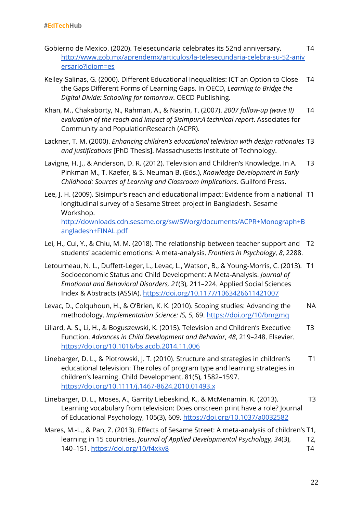- Gobierno de Mexico. (2020). Telesecundaria celebrates its 52nd anniversary. [http://www.gob.mx/aprendemx/articulos/la-telesecundaria-celebra-su-52-aniv](http://www.gob.mx/aprendemx/articulos/la-telesecundaria-celebra-su-52-aniversario?idiom=es) [ersario?idiom=es](http://www.gob.mx/aprendemx/articulos/la-telesecundaria-celebra-su-52-aniversario?idiom=es) T4
- Kelley-Salinas, G. (2000). Different Educational Inequalities: ICT an Option to Close the Gaps Different Forms of Learning Gaps. In OECD, *Learning to Bridge the Digital Divide: Schooling for tomorrow*. OECD Publishing. T4
- Khan, M., Chakaborty, N., Rahman, A., & Nasrin, T. (2007). *2007 follow-up (wave II) evaluation of the reach and impact of Sisimpur:A technical report*. Associates for Community and PopulationResearch (ACPR). T4
- Lackner, T. M. (2000). *Enhancing children's educational television with design rationales* T3 *and justifications* [PhD Thesis]. Massachusetts Institute of Technology.
- Lavigne, H. J., & Anderson, D. R. (2012). Television and Children's Knowledge. In A. Pinkman M., T. Kaefer, & S. Neuman B. (Eds.), *Knowledge Development in Early Childhood: Sources of Learning and Classroom Implications*. Guilford Press. T3
- Lee, J. H. (2009). Sisimpur's reach and educational impact: Evidence from a national T1 longitudinal survey of a Sesame Street project in Bangladesh. Sesame Workshop. [http://downloads.cdn.sesame.org/sw/SWorg/documents/ACPR+Monograph+B](http://downloads.cdn.sesame.org/sw/SWorg/documents/ACPR+Monograph+Bangladesh+FINAL.pdf) [angladesh+FINAL.pdf](http://downloads.cdn.sesame.org/sw/SWorg/documents/ACPR+Monograph+Bangladesh+FINAL.pdf)
- Lei, H., Cui, Y., & Chiu, M. M. (2018). The relationship between teacher support and T2 students' academic emotions: A meta-analysis. *Frontiers in Psychology*, *8*, 2288.
- Letourneau, N. L., Duffett-Leger, L., Levac, L., Watson, B., & Young-Morris, C. (2013). T1 Socioeconomic Status and Child Development: A Meta-Analysis. *Journal of Emotional and Behavioral Disorders, 21*(3), 211–224. Applied Social Sciences Index & Abstracts (ASSIA). <https://doi.org/10.1177/1063426611421007>
- Levac, D., Colquhoun, H., & O'Brien, K. K. (2010). Scoping studies: Advancing the methodology. *Implementation Science: IS, 5*, 69. <https://doi.org/10/bnrgmq> NA
- Lillard, A. S., Li, H., & Boguszewski, K. (2015). Television and Children's Executive Function. *Advances in Child Development and Behavior*, *48*, 219–248. Elsevier. <https://doi.org/10.1016/bs.acdb.2014.11.006> T3
- Linebarger, D. L., & Piotrowski, J. T. (2010). Structure and strategies in children's educational television: The roles of program type and learning strategies in children's learning. Child Development, 81(5), 1582–1597. <https://doi.org/10.1111/j.1467-8624.2010.01493.x> T1
- Linebarger, D. L., Moses, A., Garrity Liebeskind, K., & McMenamin, K. (2013). Learning vocabulary from television: Does onscreen print have a role? Journal of Educational Psychology, 105(3), 609. <https://doi.org/10.1037/a0032582> T3
- Mares, M.-L., & Pan, Z. (2013). Effects of Sesame Street: A meta-analysis of children's T1, learning in 15 countries. *Journal of Applied Developmental Psychology, 34*(3), 140–151. <https://doi.org/10/f4xkv8> T2, T4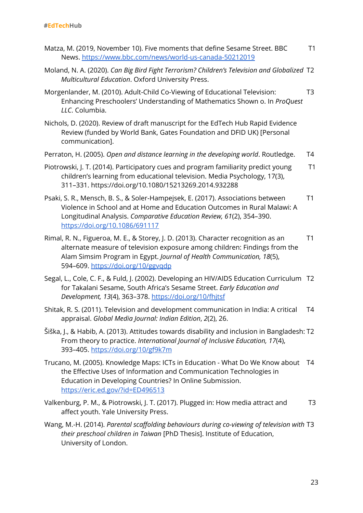| Matza, M. (2019, November 10). Five moments that define Sesame Street. BBC<br>News. https://www.bbc.com/news/world-us-canada-50212019                                                                                                                                           | T1 |
|---------------------------------------------------------------------------------------------------------------------------------------------------------------------------------------------------------------------------------------------------------------------------------|----|
| Moland, N. A. (2020). Can Big Bird Fight Terrorism? Children's Television and Globalized T2<br>Multicultural Education. Oxford University Press.                                                                                                                                |    |
| Morgenlander, M. (2010). Adult-Child Co-Viewing of Educational Television:<br>Enhancing Preschoolers' Understanding of Mathematics Shown o. In ProQuest<br>LLC. Columbia.                                                                                                       | T3 |
| Nichols, D. (2020). Review of draft manuscript for the EdTech Hub Rapid Evidence<br>Review (funded by World Bank, Gates Foundation and DFID UK) [Personal<br>communication].                                                                                                    |    |
| Perraton, H. (2005). Open and distance learning in the developing world. Routledge.                                                                                                                                                                                             | T4 |
| Piotrowski, J. T. (2014). Participatory cues and program familiarity predict young<br>children's learning from educational television. Media Psychology, 17(3),<br>311-331. https://doi.org/10.1080/15213269.2014.932288                                                        | T1 |
| Psaki, S. R., Mensch, B. S., & Soler-Hampejsek, E. (2017). Associations between<br>Violence in School and at Home and Education Outcomes in Rural Malawi: A<br>Longitudinal Analysis. Comparative Education Review, 61(2), 354-390.<br>https://doi.org/10.1086/691117           | T1 |
| Rimal, R. N., Figueroa, M. E., & Storey, J. D. (2013). Character recognition as an<br>alternate measure of television exposure among children: Findings from the<br>Alam Simsim Program in Egypt. Journal of Health Communication, 18(5),<br>594-609. https://doi.org/10/ggvqdp | Τ1 |

- Segal, L., Cole, C. F., & Fuld, J. (2002). Developing an HIV/AIDS Education Curriculum T2 for Takalani Sesame, South Africa's Sesame Street. *Early Education and Development, 13*(4), 363–378. <https://doi.org/10/fhjtsf>
- Shitak, R. S. (2011). Television and development communication in India: A critical appraisal. *Global Media Journal: Indian Edition*, *2*(2), 26. T4
- Siška, J., & Habib, A. (2013). Attitudes towards disability and inclusion in Bangladesh: T2 From theory to practice. *International Journal of Inclusive Education, 17*(4), 393–405. <https://doi.org/10/gf9k7m>
- Trucano, M. (2005). Knowledge Maps: ICTs in Education What Do We Know about T4 the Effective Uses of Information and Communication Technologies in Education in Developing Countries? In Online Submission. <https://eric.ed.gov/?id=ED496513>
- Valkenburg, P. M., & Piotrowski, J. T. (2017). Plugged in: How media attract and affect youth. Yale University Press. T3
- Wang, M.-H. (2014). *Parental scaffolding behaviours during co-viewing of television with* T3 *their preschool children in Taiwan* [PhD Thesis]. Institute of Education, University of London.